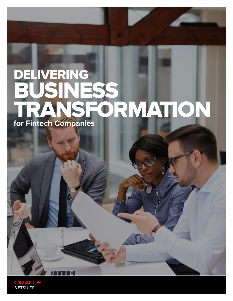# DELIVERING INESS<br>NSEO FORMATION **for Fintech Companies**

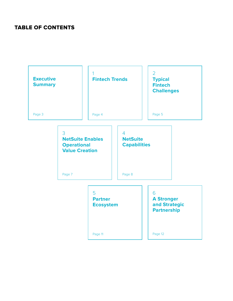### TABLE OF CONTENTS

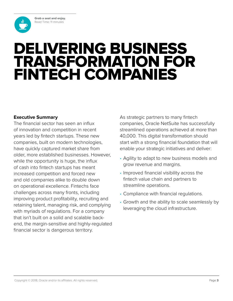**Grab a seat and enjoy.** Read Time: 11 minutes

<span id="page-2-0"></span>

# DELIVERING BUSINESS TRANSFORMATION FOR FINTECH COMPANIES

### **Executive Summary**

The financial sector has seen an influx of innovation and competition in recent years led by fintech startups. These new companies, built on modern technologies, have quickly captured market share from older, more established businesses. However, while the opportunity is huge, the influx of cash into fintech startups has meant increased competition and forced new and old companies alike to double down on operational excellence. Fintechs face challenges across many fronts, including improving product profitability, recruiting and retaining talent, managing risk, and complying with myriads of regulations. For a company that isn't built on a solid and scalable backend, the margin-sensitive and highly-regulated financial sector is dangerous territory.

As strategic partners to many fintech companies, Oracle NetSuite has successfully streamlined operations achieved at more than 40,000. This digital transformation should start with a strong financial foundation that will enable your strategic initiatives and deliver:

- Agility to adapt to new business models and grow revenue and margins.
- Improved financial visibility across the fintech value chain and partners to streamline operations.
- Compliance with financial regulations.
- Growth and the ability to scale seamlessly by leveraging the cloud infrastructure.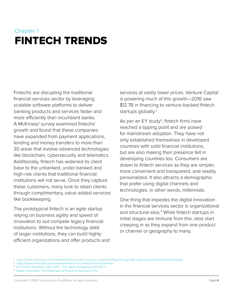### <span id="page-3-0"></span>Chapter 1 FINTECH TRENDS

Fintechs are disrupting the traditional financial services sector by leveraging scalable software platforms to deliver banking products and services faster and more efficiently than incumbent banks. A McKinsey<sup>1</sup> survey examined fintechs' growth and found that these companies have expanded from payment applications, lending and money transfers to more than 30 areas that involve advanced technologies like blockchain, cybersecurity and telematics. Additionally, fintech has widened its client base to the unbanked, under-banked and high-risk clients that traditional financial institutions will not serve. Once they capture these customers, many look to retain clients through complimentary, value-added services like bookkeeping.

The prototypical fintech is an agile startup relying on business agility and speed of innovation to out-compete legacy financial institutions. Without the technology debt of larger institutions, they can build highly efficient organizations and offer products and services at vastly lower prices. Venture Capital is powering much of this growth—2016 saw \$12.7B in financing to venture-backed fintech startups globally.<sup>2</sup>

As per an EY study<sup>3</sup>, fintech firms have reached a tipping point and are poised for mainstream adoption. They have not only established themselves in developed countries with solid financial institutions, but are also making their presence felt in developing countries too. Consumers are drawn to fintech services as they are simpler, more convenient and transparent, and readily personalized. It also attracts a demographic that prefer using digital channels and technologies, in other words, millennials.

One thing that impedes the digital innovation in the financial services sector is organizational and structural silos.<sup>4</sup> While fintech startups in initial stages are immune from this, silos start creeping in as they expand from one product or channel or geography to many.

1 <https://www.mckinsey.com/industries/financial-services/our-insights/cutting-through-the-noise-around-financial-technology>

<sup>2</sup> <https://www.cbinsights.com/research/fintech-vc-investor-funding-trends/>

<sup>&</sup>lt;sup>3</sup> [EY FinTech Adoption Index 2017 - The rapid emergence of FinTech](http://www.ey.com/Publication/vwLUAssets/ey-fintech-adoption-index-2017/$FILE/ey-fintech-adoption-index-2017.pdf)

<sup>4</sup> Digital Innovation: The Readiness of Financial Services Firms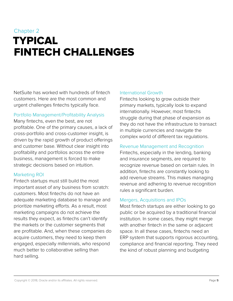## <span id="page-4-0"></span>Chapter 2 TYPICAL FINTECH CHALLENGES

NetSuite has worked with hundreds of fintech customers. Here are the most common and urgent challenges fintechs typically face.

### Portfolio Management/Profitability Analysis

Many fintechs, even the best, are not profitable. One of the primary causes, a lack of cross-portfolio and cross-customer insight, is driven by the rapid growth of product offerings and customer base. Without clear insight into profitability and portfolios across the entire business, management is forced to make strategic decisions based on intuition.

### Marketing ROI

Fintech startups must still build the most important asset of any business from scratch: customers. Most fintechs do not have an adequate marketing database to manage and prioritize marketing efforts. As a result, most marketing campaigns do not achieve the results they expect, as fintechs can't identify the markets or the customer segments that are profitable. And, when these companies do acquire customers, they need to keep them engaged, especially millennials, who respond much better to collaborative selling than hard selling.

### International Growth

Fintechs looking to grow outside their primary markets, typically look to expand internationally. However, most fintechs struggle during that phase of expansion as they do not have the infrastructure to transact in multiple currencies and navigate the complex world of different tax regulations.

### Revenue Management and Recognition

Fintechs, especially in the lending, banking and insurance segments, are required to recognize revenue based on certain rules. In addition, fintechs are constantly looking to add revenue streams. This makes managing revenue and adhering to revenue recognition rules a significant burden.

### Mergers, Acquisitions and IPOs

Most fintech startups are either looking to go public or be acquired by a traditional financial institution. In some cases, they might merge with another fintech in the same or adjacent space. In all these cases, fintechs need an ERP system that supports rigorous accounting, compliance and financial reporting. They need the kind of robust planning and budgeting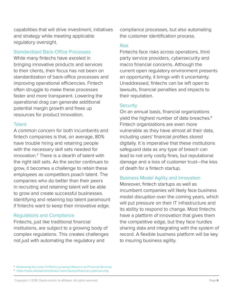capabilities that will drive investment, initiatives and strategy while meeting applicable regulatory oversight.

### Standardized Back-Office Processes

While many fintechs have exceled in bringing innovative products and services to their clients, their focus has not been on standardization of back-office processes and improving operational efficiencies. Fintech often struggle to make these processes faster and more transparent. Lowering the operational drag can generate additional potential margin growth and frees up resources for product innovation.

### **Talent**

A common concern for both incumbents and fintech companies is that, on average, 80% have trouble hiring and retaining people with the necessary skill sets needed for innovation.<sup>5</sup> There is a dearth of talent with the right skill sets. As the sector continues to grow, it becomes a challenge to retain these employees as competitors poach talent. The companies who do better than their peers in recruiting and retaining talent will be able to grow and create successful businesses. Identifying and retaining top talent paramount if fintechs want to keep their innovative edge.

### Regulations and Compliance

Fintechs, just like traditional financial institutions, are subject to a growing body of complex regulations. This creates challenges not just with automating the regulatory and

compliance processes, but also automating the customer identification process.

### Risk

Fintechs face risks across operations, third party service providers, cybersecurity and macro financial concerns. Although the current open regulatory environment presents an opportunity, it brings with it uncertainty. Unaddressed, fintechs can be left open to lawsuits, financial penalties and impacts to their reputation.

### **Security**

On an annual basis, financial organizations yield the highest number of data breaches.<sup>6</sup> Fintech organizations are even more vulnerable as they have almost all their data, including users' financial profiles stored digitally. It is imperative that these institutions safeguard data as any type of breach can lead to not only costly fines, but reputational damage and a loss of customer trust—the kiss of death for a fintech startup.

### Business Model Agility and Innovation

Moreover, fintech startups as well as incumbent companies will likely face business model disruption over the coming years, which will put pressure on their IT infrastructure and its ability to respond to change. Most fintechs have a platform of innovation that gives them the competitive edge, but they face hurdles sharing data and integrating with the system of record. A flexible business platform will be key to insuring business agility.

5 [Redrawing the Lines: FinTech's growing influence on Financial Services](https://www.pwc.com/jg/en/publications/pwc-global-fintech-report-17.3.17-final.pdf) 6 <https://www.blackducksoftware.com/industry/financial-cybersecurity>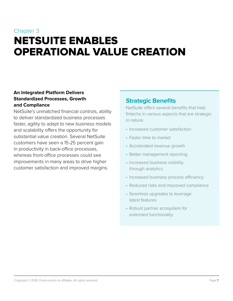## <span id="page-6-0"></span>Chapter 3 NETSUITE ENABLES OPERATIONAL VALUE CREATION

### **An Integrated Platform Delivers Standardized Processes, Growth and Compliance**

NetSuite's unmatched financial controls, ability to deliver standardized business processes faster, agility to adapt to new business models and scalability offers the opportunity for substantial value creation. Several NetSuite customers have seen a 15-25 percent gain in productivity in back-office processes, whereas front-office processes could see improvements in many areas to drive higher customer satisfaction and improved margins.

### **Strategic Benefits**

NetSuite offers several benefits that help fintechs in various aspects that are strategic in nature:

- Increased customer satisfaction
- Faster time to market
- Accelerated revenue growth
- Better management reporting
- Increased business visibility through analytics
- Increased business process efficiency
- Reduced risks and improved compliance
- Seamless upgrades to leverage latest features
- Robust partner ecosystem for extended functionality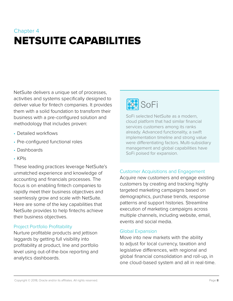## <span id="page-7-0"></span>Chapter 4 NETSUITE CAPABILITIES

NetSuite delivers a unique set of processes, activities and systems specifically designed to deliver value for fintech companies. It provides them with a solid foundation to transform their business with a pre-configured solution and methodology that includes proven:

- Detailed workflows
- Pre-configured functional roles
- Dashboards
- KPIs

These leading practices leverage NetSuite's unmatched experience and knowledge of accounting and financials processes. The focus is on enabling fintech companies to rapidly meet their business objectives and seamlessly grow and scale with NetSuite. Here are some of the key capabilities that NetSuite provides to help fintechs achieve their business objectives.

### Project Portfolio Profitability

Nurture profitable products and jettison laggards by getting full visibility into profitability at product, line and portfolio level using out-of-the-box reporting and analytics dashboards.

## **SOP**SOFI

SoFi selected NetSuite as a modern, cloud platform that had similar financial services customers among its ranks already. Advanced functionality, a swift implementation timeline and strong value were differentiating factors. Multi-subsidiary management and global capabilities have SoFi poised for expansion.

### Customer Acquisitions and Engagement

Acquire new customers and engage existing customers by creating and tracking highly targeted marketing campaigns based on demographics, purchase trends, response patterns and support histories. Streamline execution of marketing campaigns across multiple channels, including website, email, events and social media.

### Global Expansion

Move into new markets with the ability to adjust for local currency, taxation and legislative differences, with regional and global financial consolidation and roll-up, in one cloud-based system and all in real-time.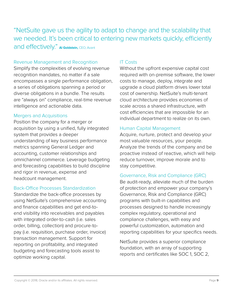"NetSuite gave us the agility to adapt to change and the scalability that we needed. It's been critical to entering new markets quickly, efficiently and effectively." **Al Goldstein,** CEO, Avant

### Revenue Management and Recognition

Simplify the complexities of evolving revenue recognition mandates, no matter if a sale encompasses a single performance obligation, a series of obligations spanning a period or diverse obligations in a bundle. The results are "always on" compliance, real-time revenue intelligence and actionable data.

### Mergers and Acquisitions

Position the company for a merger or acquisition by using a unified, fully integrated system that provides a deeper understanding of key business performance metrics spanning General Ledger and accounting, customer relationships and omnichannel commerce. Leverage budgeting and forecasting capabilities to build discipline and rigor in revenue, expense and headcount management.

### Back-Office Processes Standardization

Standardize the back-office processes by using NetSuite's comprehensive accounting and finance capabilities and get end-toend visibility into receivables and payables with integrated order-to-cash (i.e. sales order, billing, collection) and procure-topay (i.e. requisition, purchase order, invoice) transaction management. Support for reporting on profitability, and integrated budgeting and forecasting tools assist to optimize working capital.

### IT Costs

Without the upfront expensive capital cost required with on-premise software, the lower costs to manage, deploy, integrate and upgrade a cloud platform drives lower total cost of ownership. NetSuite's multi-tenant cloud architecture provides economies of scale across a shared infrastructure, with cost efficiencies that are impossible for an individual department to realize on its own.

### Human Capital Management

Acquire, nurture, protect and develop your most valuable resources, your people. Analyze the trends of the company and be proactive instead of reactive, which will help reduce turnover, improve morale and to stay competitive.

### Governance, Risk and Compliance (GRC)

Be audit-ready, alleviate much of the burden of protection and empower your company's Governance, Risk and Compliance (GRC) programs with built-in capabilities and processes designed to handle increasingly complex regulatory, operational and compliance challenges, with easy and powerful customization, automation and reporting capabilities for your specifics needs.

NetSuite provides a superior compliance foundation, with an array of supporting reports and certificates like SOC 1, SOC 2,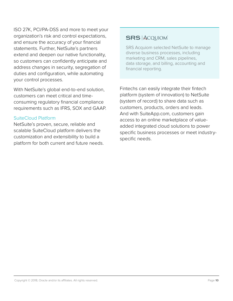ISO 27K, PCI/PA-DSS and more to meet your organization's risk and control expectations, and ensure the accuracy of your financial statements. Further, NetSuite's partners extend and deepen our native functionality, so customers can confidently anticipate and address changes in security, segregation of duties and configuration, while automating your control processes.

With NetSuite's global end-to-end solution, customers can meet critical and timeconsuming regulatory financial compliance requirements such as IFRS, SOX and GAAP.

### SuiteCloud Platform

NetSuite's proven, secure, reliable and scalable SuiteCloud platform delivers the customization and extensibility to build a platform for both current and future needs.

### **SRS ACQUIOM**

SRS Acquiom selected NetSuite to manage diverse business processes, including marketing and CRM, sales pipelines, data storage, and billing, accounting and financial reporting.

Fintechs can easily integrate their fintech platform (system of innovation) to NetSuite (system of record) to share data such as customers, products, orders and leads. And with SuiteApp.com, customers gain access to an online marketplace of valueadded integrated cloud solutions to power specific business processes or meet industryspecific needs.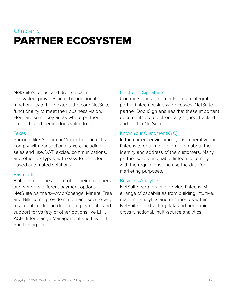## <span id="page-10-0"></span>Chapter 5 PARTNER ECOSYSTEM

NetSuite's robust and diverse partner ecosystem provides fintechs additional functionality to help extend the core NetSuite functionality to meet their business vision. Here are some key areas where partner products add tremendous value to fintechs.

#### Taxes

Partners like Avalara or Vertex help fintechs comply with transactional taxes, including sales and use, VAT, excise, communications, and other tax types, with easy-to-use, cloudbased automated solutions.

### **Payments**

Fintechs must be able to offer their customers and vendors different payment options. NetSuite partners—AvidXchange, Mineral Tree and Bills.com—provide simple and secure way to accept credit and debit card payments, and support for variety of other options like EFT, ACH, Interchange Management and Level III Purchasing Card.

### Electronic Signatures

Contracts and agreements are an integral part of fintech business processes. NetSuite partner DocuSign ensures that these important documents are electronically signed, tracked and filed in NetSuite.

### Know Your Customer (KYC)

In the current environment, it is imperative for fintechs to obtain the information about the identity and address of the customers. Many partner solutions enable fintech to comply with the regulations and use the data for marketing purposes.

### Business Analytics

NetSuite partners can provide fintechs with a range of capabilities from building intuitive, real-time analytics and dashboards within NetSuite to extracting data and performing cross functional, multi-source analytics.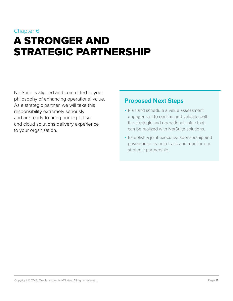## <span id="page-11-0"></span>Chapter 6 A STRONGER AND STRATEGIC PARTNERSHIP

NetSuite is aligned and committed to your philosophy of enhancing operational value. As a strategic partner, we will take this responsibility extremely seriously and are ready to bring our expertise and cloud solutions delivery experience to your organization.

### **Proposed Next Steps**

- Plan and schedule a value assessment engagement to confirm and validate both the strategic and operational value that can be realized with NetSuite solutions.
- Establish a joint executive sponsorship and governance team to track and monitor our strategic partnership.